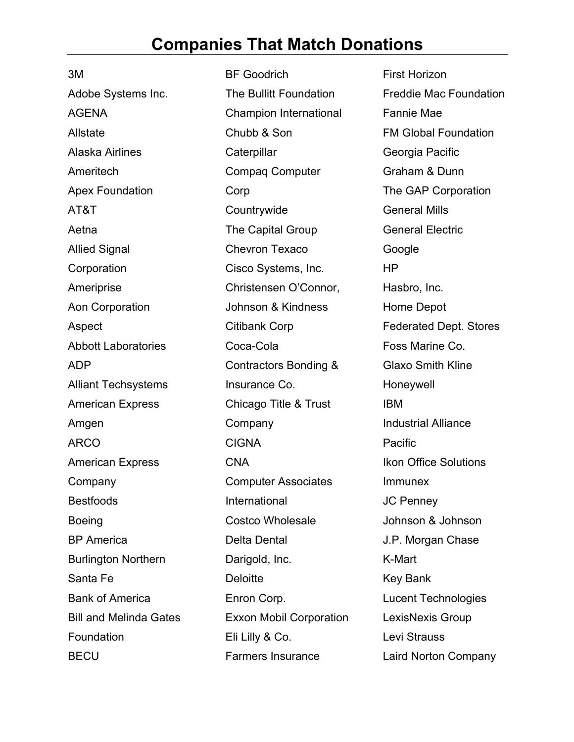## **Companies That Match Donations**

3M Adobe Systems Inc. AGENA Allstate Alaska Airlines Ameritech Apex Foundation AT&T Aetna Allied Signal **Corporation** Ameriprise Aon Corporation Aspect Abbott Laboratories ADP Alliant Techsystems American Express Amgen ARCO American Express Company **Bestfoods** Boeing BP America Burlington Northern Santa Fe Bank of America Bill and Melinda Gates **Foundation BECU** 

BF Goodrich The Bullitt Foundation Champion International Chubb & Son **Caterpillar** Compaq Computer Corp **Countrywide** The Capital Group Chevron Texaco Cisco Systems, Inc. Christensen O'Connor, Johnson & Kindness Citibank Corp Coca-Cola Contractors Bonding & Insurance Co. Chicago Title & Trust **Company** CIGNA CNA Computer Associates International Costco Wholesale Delta Dental Darigold, Inc. **Deloitte** Enron Corp. Exxon Mobil Corporation Eli Lilly & Co. Farmers Insurance

First Horizon Freddie Mac Foundation Fannie Mae FM Global Foundation Georgia Pacific Graham & Dunn The GAP Corporation General Mills General Electric Google HP Hasbro, Inc. Home Depot Federated Dept. Stores Foss Marine Co. Glaxo Smith Kline Honeywell IBM Industrial Alliance **Pacific** Ikon Office Solutions Immunex JC Penney Johnson & Johnson J.P. Morgan Chase K-Mart Key Bank Lucent Technologies LexisNexis Group Levi Strauss Laird Norton Company